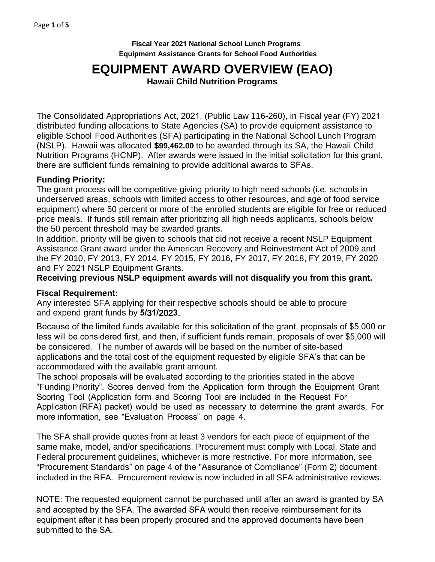**Fiscal Year 2021 National School Lunch Programs Equipment Assistance Grants for School Food Authorities** 

# **EQUIPMENT AWARD OVERVIEW (EAO)**

**Hawaii Child Nutrition Programs** 

The Consolidated Appropriations Act, 2021, (Public Law 116-260), in Fiscal year (FY) 2021 distributed funding allocations to State Agencies (SA) to provide equipment assistance to eligible School Food Authorities (SFA) participating in the National School Lunch Program (NSLP). Hawaii was allocated **\$99,462.00** to be awarded through its SA, the Hawaii Child Nutrition Programs (HCNP). After awards were issued in the initial solicitation for this grant, there are sufficient funds remaining to provide additional awards to SFAs.

### **Funding Priority:**

The grant process will be competitive giving priority to high need schools (i.e. schools in underserved areas, schools with limited access to other resources, and age of food service equipment) where 50 percent or more of the enrolled students are eligible for free or reduced price meals. If funds still remain after prioritizing all high needs applicants, schools below the 50 percent threshold may be awarded grants.

In addition, priority will be given to schools that did not receive a recent NSLP Equipment Assistance Grant award under the American Recovery and Reinvestment Act of 2009 and the FY 2010, FY 2013, FY 2014, FY 2015, FY 2016, FY 2017, FY 2018, FY 2019, FY 2020 and FY 2021 NSLP Equipment Grants.

## **Receiving previous NSLP equipment awards will not disqualify you from this grant.**

### **Fiscal Requirement:**

Any interested SFA applying for their respective schools should be able to procure and expend grant funds by **5/**3**1/**202**3**.

Because of the limited funds available for this solicitation of the grant, proposals of \$5,000 or less will be considered first, and then, if sufficient funds remain, proposals of over \$5,000 will be considered. The number of awards will be based on the number of site-based applications and the total cost of the equipment requested by eligible SFA's that can be accommodated with the available grant amount.

The school proposals will be evaluated according to the priorities stated in the above "Funding Priority". Scores derived from the Application form through the Equipment Grant Scoring Tool (Application form and Scoring Tool are included in the Request For Application (RFA) packet) would be used as necessary to determine the grant awards. For more information, see "Evaluation Process" on page 4.

The SFA shall provide quotes from at least 3 vendors for each piece of equipment of the same make, model, and/or specifications. Procurement must comply with Local, State and Federal procurement guidelines, whichever is more restrictive. For more information, see "Procurement Standards" on page 4 of the "Assurance of Compliance" (Form 2) document included in the RFA. Procurement review is now included in all SFA administrative reviews.

NOTE: The requested equipment cannot be purchased until after an award is granted by SA and accepted by the SFA. The awarded SFA would then receive reimbursement for its equipment after it has been properly procured and the approved documents have been submitted to the SA.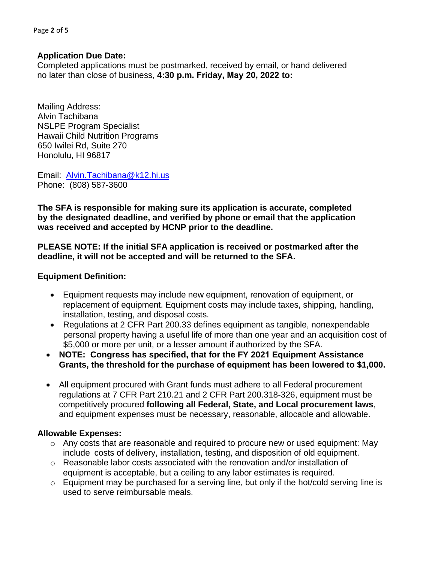Page **2** of **5**

#### **Application Due Date:**

Completed applications must be postmarked, received by email, or hand delivered no later than close of business, **4:30 p.m. Friday, May 20, 2022 to:**

Mailing Address: Alvin Tachibana NSLPE Program Specialist Hawaii Child Nutrition Programs 650 Iwilei Rd, Suite 270 Honolulu, HI 96817

Email: [Alvin.Tachibana@k12.hi.us](mailto:Alvin.Tachibana@k12.hi.us) Phone: (808) 587-3600

**The SFA is responsible for making sure its application is accurate, completed by the designated deadline, and verified by phone or email that the application was received and accepted by HCNP prior to the deadline.**

**PLEASE NOTE: If the initial SFA application is received or postmarked after the deadline, it will not be accepted and will be returned to the SFA.**

#### **Equipment Definition:**

- Equipment requests may include new equipment, renovation of equipment, or replacement of equipment. Equipment costs may include taxes, shipping, handling, installation, testing, and disposal costs.
- Regulations at 2 CFR Part 200.33 defines equipment as tangible, nonexpendable personal property having a useful life of more than one year and an acquisition cost of \$5,000 or more per unit, or a lesser amount if authorized by the SFA.
- **NOTE: Congress has specified, that for the FY 2021 Equipment Assistance Grants, the threshold for the purchase of equipment has been lowered to \$1,000.**
- All equipment procured with Grant funds must adhere to all Federal procurement regulations at 7 CFR Part 210.21 and 2 CFR Part 200.318-326, equipment must be competitively procured **following all Federal, State, and Local procurement laws**, and equipment expenses must be necessary, reasonable, allocable and allowable.

### **Allowable Expenses:**

- $\circ$  Any costs that are reasonable and required to procure new or used equipment: May include costs of delivery, installation, testing, and disposition of old equipment.
- $\circ$  Reasonable labor costs associated with the renovation and/or installation of equipment is acceptable, but a ceiling to any labor estimates is required.
- $\circ$  Equipment may be purchased for a serving line, but only if the hot/cold serving line is used to serve reimbursable meals.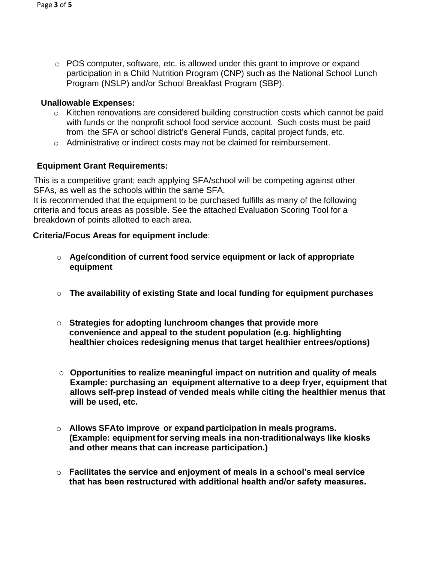$\circ$  POS computer, software, etc. is allowed under this grant to improve or expand participation in a Child Nutrition Program (CNP) such as the National School Lunch Program (NSLP) and/or School Breakfast Program (SBP).

## **Unallowable Expenses:**

- o Kitchen renovations are considered building construction costs which cannot be paid with funds or the nonprofit school food service account. Such costs must be paid from the SFA or school district's General Funds, capital project funds, etc.
- $\circ$  Administrative or indirect costs may not be claimed for reimbursement.

## **Equipment Grant Requirements:**

This is a competitive grant; each applying SFA/school will be competing against other SFAs, as well as the schools within the same SFA.

It is recommended that the equipment to be purchased fulfills as many of the following criteria and focus areas as possible. See the attached Evaluation Scoring Tool for a breakdown of points allotted to each area.

## **Criteria/Focus Areas for equipment include**:

- o **Age/condition of current food service equipment or lack of appropriate equipment**
- o **The availability of existing State and local funding for equipment purchases**
- o **Strategies for adopting lunchroom changes that provide more convenience and appeal to the student population (e.g. highlighting healthier choices redesigning menus that target healthier entrees/options)**
- o **Opportunities to realize meaningful impact on nutrition and quality of meals Example: purchasing an equipment alternative to a deep fryer, equipment that allows self-prep instead of vended meals while citing the healthier menus that will be used, etc.**
- o **Allows SFA to improve or expand participation in meals programs. (Example: equipment for serving meals in a non-traditional ways like kiosks and other means that can increase participation.)**
- o **Facilitates the service and enjoyment of meals in a school's meal service that has been restructured with additional health and/or safety measures.**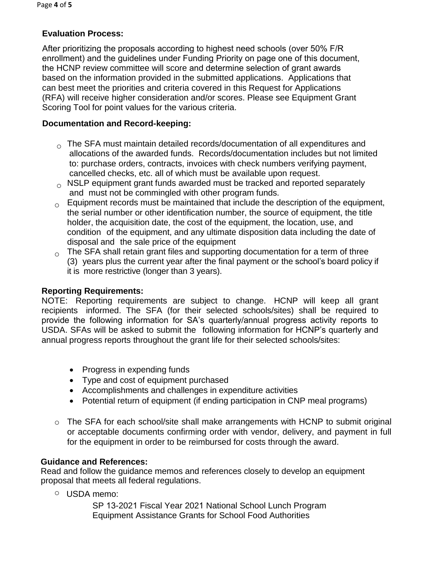## **Evaluation Process:**

After prioritizing the proposals according to highest need schools (over 50% F/R enrollment) and the guidelines under Funding Priority on page one of this document, the HCNP review committee will score and determine selection of grant awards based on the information provided in the submitted applications. Applications that can best meet the priorities and criteria covered in this Request for Applications (RFA) will receive higher consideration and/or scores. Please see Equipment Grant Scoring Tool for point values for the various criteria.

## **Documentation and Record-keeping:**

- $\circ$  The SFA must maintain detailed records/documentation of all expenditures and allocations of the awarded funds. Records/documentation includes but not limited to: purchase orders, contracts, invoices with check numbers verifying payment, cancelled checks, etc. all of which must be available upon request.
- $\circ$  NSLP equipment grant funds awarded must be tracked and reported separately and must not be commingled with other program funds.
- $_{\circ}$  Equipment records must be maintained that include the description of the equipment, the serial number or other identification number, the source of equipment, the title holder, the acquisition date, the cost of the equipment, the location, use, and condition of the equipment, and any ultimate disposition data including the date of disposal and the sale price of the equipment
- $\circ$  The SFA shall retain grant files and supporting documentation for a term of three (3) years plus the current year after the final payment or the school's board policy if it is more restrictive (longer than 3 years).

### **Reporting Requirements:**

NOTE: Reporting requirements are subject to change. HCNP will keep all grant recipients informed. The SFA (for their selected schools/sites) shall be required to provide the following information for SA's quarterly/annual progress activity reports to USDA. SFAs will be asked to submit the following information for HCNP's quarterly and annual progress reports throughout the grant life for their selected schools/sites:

- Progress in expending funds
- Type and cost of equipment purchased
- Accomplishments and challenges in expenditure activities
- Potential return of equipment (if ending participation in CNP meal programs)
- $\circ$  The SFA for each school/site shall make arrangements with HCNP to submit original or acceptable documents confirming order with vendor, delivery, and payment in full for the equipment in order to be reimbursed for costs through the award.

## **Guidance and References:**

Read and follow the guidance memos and references closely to develop an equipment proposal that meets all federal regulations.

o USDA memo:

SP 13-2021 Fiscal Year 2021 National School Lunch Program Equipment Assistance Grants for School Food Authorities